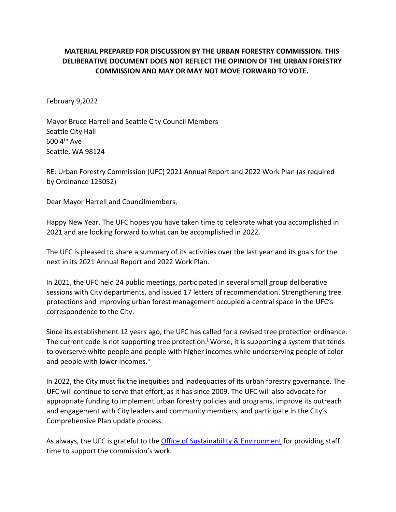## **MATERIAL PREPARED FOR DISCUSSION BY THE URBAN FORESTRY COMMISSION. THIS DELIBERATIVE DOCUMENT DOES NOT REFLECT THE OPINION OF THE URBAN FORESTRY COMMISSION AND MAY OR MAY NOT MOVE FORWARD TO VOTE.**

February 9,2022

Mayor Bruce Harrell and Seattle City Council Members Seattle City Hall 600 4th Ave Seattle, WA 98124

RE: Urban Forestry Commission (UFC) 2021 Annual Report and 2022 Work Plan (as required by Ordinance 123052)

Dear Mayor Harrell and Councilmembers,

Happy New Year. The UFC hopes you have taken time to celebrate what you accomplished in 2021 and are looking forward to what can be accomplished in 2022.

The UFC is pleased to share a summary of its activities over the last year and its goals for the next in its 2021 Annual Report and 2022 Work Plan.

In 2021, the UFC held 24 public meetings, participated in several small group deliberative sessions with City departments, and issued 17 letters of recommendation. Strengthening tree protections and improving urban forest management occupied a central space in the UFC's correspondence to the City.

Since its establishment 12 years ago, the UFC has called for a revised tree protection ordinance. The current code is not supporting tree protection.<sup> $\mathbf{i}$ </sup> Worse, it is supporting a system that tends to overserve white people and people with higher incomes while underserving people of color and people with lower incomes.<sup>ii</sup>

In 2022, the City must fix the inequities and inadequacies of its urban forestry governance. The UFC will continue to serve that effort, as it has since 2009. The UFC will also advocate for appropriate funding to implement urban forestry policies and programs, improve its outreach and engagement with City leaders and community members, and participate in the City's Comprehensive Plan update process.

As always, the UFC is grateful to the [Office of Sustainability & Environment](http://www.seattle.gov/environment/) for providing staff time to support the commission's work.